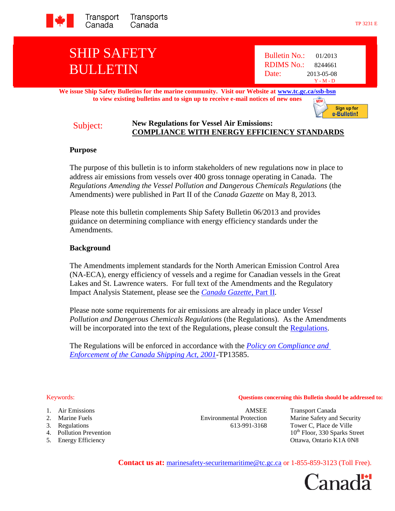

# SHIP SAFETY BULLETIN

Bulletin No.: 01/2013 RDIMS No.: 8244661 Date: 2013-05-08 Y - M - D

#### **We issue Ship Safety Bulletins for the marine community. Visit our Website at [www.tc.gc.ca/ssb-bsn](http://www.tc.gc.ca/ssb-bsn) to view existing bulletins and to sign up to receive e-mail notices of new ones**

Sign up for e-Bulletin!

### Subject: **New Regulations for Vessel Air Emissions: COMPLIANCE WITH ENERGY EFFICIENCY STANDARDS**

#### **Purpose**

The purpose of this bulletin is to inform stakeholders of new regulations now in place to address air emissions from vessels over 400 gross tonnage operating in Canada. The *Regulations Amending the Vessel Pollution and Dangerous Chemicals Regulations* (the Amendments) were published in Part II of the *Canada Gazette* on May 8, 2013*.*

Please note this bulletin complements Ship Safety Bulletin 06/2013 and provides guidance on determining compliance with energy efficiency standards under the Amendments.

# **Background**

The Amendments implement standards for the North American Emission Control Area (NA-ECA), energy efficiency of vessels and a regime for Canadian vessels in the Great Lakes and St. Lawrence waters. For full text of the Amendments and the Regulatory Impact Analysis Statement, please see the *[Canada Gazette](http://canadagazette.gc.ca/rp-pr/p2/index-eng.html)*, Part II*.*

Please note some requirements for air emissions are already in place under *Vessel Pollution and Dangerous Chemicals Regulations* (the Regulations). As the Amendments will be incorporated into the text of the Regulations, please consult the [Regulations.](http://laws-lois.justice.gc.ca/eng/regulations/SOR-2012-69/index.html)

The Regulations will be enforced in accordance with the *[Policy on Compliance and](http://www.tc.gc.ca/eng/marinesafety/tp-tp13585-policy-ce-csa2001-1356.htm)  [Enforcement of the Canada Shipping Act, 2001-](http://www.tc.gc.ca/eng/marinesafety/tp-tp13585-policy-ce-csa2001-1356.htm)*TP13585.

#### Keywords: **Questions concerning this Bulletin should be addressed to:**

- 
- 
- 
- 
- 

1. Air Emissions AMSEE Transport Canada 3. Regulations 613-991-3168 Tower C, Place de Ville

2. Marine Fuels Environmental Protection Marine Safety and Security 4. Pollution Prevention 10<sup>th</sup> Floor, 330 Sparks Street 5. Energy Efficiency Ottawa, Ontario K1A 0N8

**Contact us at:** marinesafety-securitemaritime@tc.gc.ca or 1-855-859-3123 (Toll Free).

anadä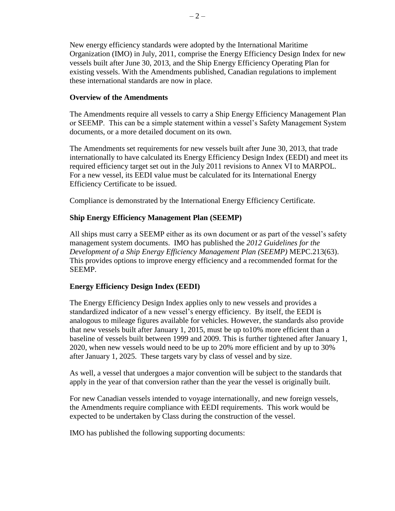New energy efficiency standards were adopted by the International Maritime Organization (IMO) in July, 2011, comprise the Energy Efficiency Design Index for new vessels built after June 30, 2013, and the Ship Energy Efficiency Operating Plan for existing vessels. With the Amendments published, Canadian regulations to implement these international standards are now in place.

# **Overview of the Amendments**

The Amendments require all vessels to carry a Ship Energy Efficiency Management Plan or SEEMP. This can be a simple statement within a vessel's Safety Management System documents, or a more detailed document on its own.

The Amendments set requirements for new vessels built after June 30, 2013, that trade internationally to have calculated its Energy Efficiency Design Index (EEDI) and meet its required efficiency target set out in the July 2011 revisions to Annex VI to MARPOL. For a new vessel, its EEDI value must be calculated for its International Energy Efficiency Certificate to be issued.

Compliance is demonstrated by the International Energy Efficiency Certificate.

# **Ship Energy Efficiency Management Plan (SEEMP)**

All ships must carry a SEEMP either as its own document or as part of the vessel's safety management system documents. IMO has published the *2012 Guidelines for the Development of a Ship Energy Efficiency Management Plan (SEEMP)* MEPC.213(63). This provides options to improve energy efficiency and a recommended format for the SEEMP.

# **Energy Efficiency Design Index (EEDI)**

The Energy Efficiency Design Index applies only to new vessels and provides a standardized indicator of a new vessel's energy efficiency. By itself, the EEDI is analogous to mileage figures available for vehicles. However, the standards also provide that new vessels built after January 1, 2015, must be up to10% more efficient than a baseline of vessels built between 1999 and 2009. This is further tightened after January 1, 2020, when new vessels would need to be up to 20% more efficient and by up to 30% after January 1, 2025. These targets vary by class of vessel and by size.

As well, a vessel that undergoes a major convention will be subject to the standards that apply in the year of that conversion rather than the year the vessel is originally built.

For new Canadian vessels intended to voyage internationally, and new foreign vessels, the Amendments require compliance with EEDI requirements. This work would be expected to be undertaken by Class during the construction of the vessel.

IMO has published the following supporting documents: